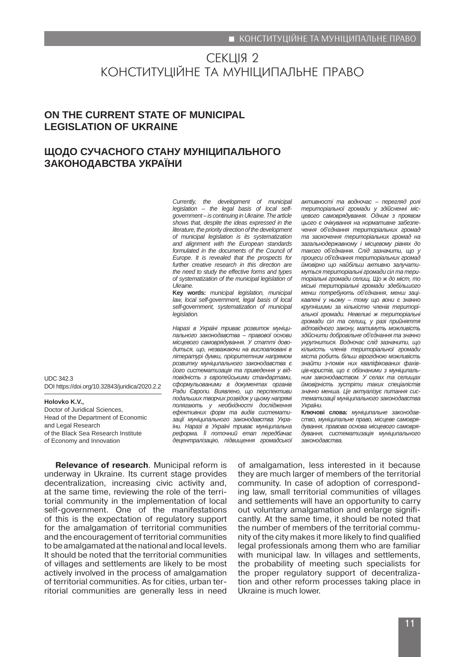# СЕКЦІЯ 2 КОНСТИТУЦІЙНЕ ТА МУНІЦИПАЛЬНЕ ПРАВО

# **ON THE CURRENT STATE OF MUNICIPAL LEGISLATION OF UKRAINE**

# **ЩОДО СУЧАСНОГО СТАНУ МУНІЦИПАЛЬНОГО ЗАКОНОДАВСТВА УКРАЇНИ**

*Currently, the development of municipal legislation – the legal basis of local selfgovernment – is continuing in Ukraine. The article shows that, despite the ideas expressed in the literature, the priority direction of the development of municipal legislation is its systematization and alignment with the European standards formulated in the documents of the Council of Europe. It is revealed that the prospects for further creative research in this direction are the need to study the effective forms and types of systematization of the municipal legislation of Ukraine.*

**Key words:** *municipal legislation, municipal law, local self-government, legal basis of local self-government, systematization of municipal legislation.*

*Наразі в Україні триває розвиток муніципального законодавства – правової основи місцевого самоврядування. У статті доводиться, що, незважаючи на висловлювані в літературі думки, пріоритетним напрямом розвитку муніципального законодавства є його систематизація та приведення у відповідність з європейськими стандартами, сформульованими в документах органів Ради Європи. Виявлено, що перспективи подальших творчих розвідок у цьому напрямі полягають у необхідності дослідження ефективних форм та видів систематизації муніципального законодавства України. Наразі в Україні триває муніципальна реформа. Її поточний етап передбачає децентралізацію, підвищення громадської*  *активності та водночас – перегляд ролі територіальної громади у здійсненні місцевого самоврядування. Одним з проявом цього є очікування на нормативне забезпечення об'єднання територіальних громад та заохочення територіальних громад на загальнодержавному і місцевому рівнях до такого об'єднання. Слід зазначити, що у процеси об'єднання територіальних громад ймовірно що найбільш активно залучатимуться територіальні громади сіл та територіальні громади селищ. Що ж до міст, то міські територіальні громади здебільшого менш потребують об'єднання, менш зацікавлені у ньому – тому що вони є значно крупнішими за кількістю членів територіальної громади. Невеликі ж територіальні громади сіл та селищ, у разі прийняття відповідного закону, матимуть можливість здійснити добровільне об'єднання та значно укрупнитися. Водночас слід зазначити, що кількість членів територіальної громади міста робить більш вірогідною можливість знайти з-поміж них кваліфікованих фахівців-юристів, що є обізнаними з муніципальним законодавством. У селах та селищах ймовірність зустріти таких спеціалістів значно менша. Це актуалізує питання систематизації муніципального законодавства України.*

**Ключові слова:** *муніципальне законодавство, муніципальне право, місцеве самоврядування, правова основа місцевого самоврядування, систематизація муніципального законодавства.* 

Head of the Department of Economic and Legal Research of the Black Sea Research Institute of Economy and Innovation

DOI https://doi.org/10.32843/juridica/2020.2.2

UDC 342.3

**Holovko K.V.,**

Doctor of Juridical Sciences,

**Relevance of research**. Municipal reform is underway in Ukraine. Its current stage provides decentralization, increasing civic activity and, at the same time, reviewing the role of the territorial community in the implementation of local self-government. One of the manifestations of this is the expectation of regulatory support for the amalgamation of territorial communities and the encouragement of territorial communities to be amalgamated at the national and local levels. It should be noted that the territorial communities of villages and settlements are likely to be most actively involved in the process of amalgamation of territorial communities. As for cities, urban territorial communities are generally less in need

of amalgamation, less interested in it because they are much larger of members of the territorial community. In case of adoption of corresponding law, small territorial communities of villages and settlements will have an opportunity to carry out voluntary amalgamation and enlarge significantly. At the same time, it should be noted that the number of members of the territorial community of the city makes it more likely to find qualified legal professionals among them who are familiar with municipal law. In villages and settlements, the probability of meeting such specialists for the proper regulatory support of decentralization and other reform processes taking place in Ukraine is much lower.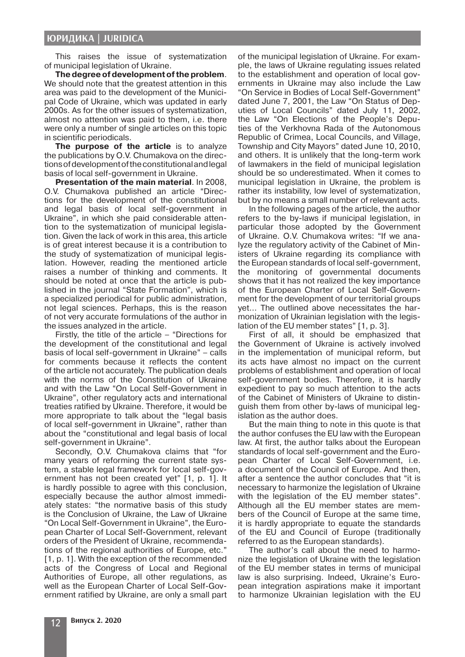### **ЮРИДИКА | JURIDICA**

This raises the issue of systematization of municipal legislation of Ukraine.

**The degree of development of the problem**. We should note that the greatest attention in this area was paid to the development of the Municipal Code of Ukraine, which was updated in early 2000s. As for the other issues of systematization, almost no attention was paid to them, i.e. there were only a number of single articles on this topic in scientific periodicals.

**The purpose of the article** is to analyze the publications by O.V. Chumakova on the directions of development of the constitutional and legal basis of local self-government in Ukraine.

**Presentation of the main material**. In 2008, O.V. Chumakova published an article "Directions for the development of the constitutional and legal basis of local self-government in Ukraine", in which she paid considerable attention to the systematization of municipal legislation. Given the lack of work in this area, this article is of great interest because it is a contribution to the study of systematization of municipal legislation. However, reading the mentioned article raises a number of thinking and comments. It should be noted at once that the article is published in the journal "State Formation", which is a specialized periodical for public administration, not legal sciences. Perhaps, this is the reason of not very accurate formulations of the author in the issues analyzed in the article.

Firstly, the title of the article – "Directions for the development of the constitutional and legal basis of local self-government in Ukraine" – calls for comments because it reflects the content of the article not accurately. The publication deals with the norms of the Constitution of Ukraine and with the Law "On Local Self-Government in Ukraine", other regulatory acts and international treaties ratified by Ukraine. Therefore, it would be more appropriate to talk about the "legal basis of local self-government in Ukraine", rather than about the "constitutional and legal basis of local self-government in Ukraine".

Secondly, O.V. Chumakova claims that "for many years of reforming the current state system, a stable legal framework for local self-government has not been created yet" [1, p. 1]. It is hardly possible to agree with this conclusion, especially because the author almost immediately states: "the normative basis of this study is the Conclusion of Ukraine, the Law of Ukraine "On Local Self-Government in Ukraine", the European Charter of Local Self-Government, relevant orders of the President of Ukraine, recommendations of the regional authorities of Europe, etc." [1, p. 1]. With the exception of the recommended acts of the Congress of Local and Regional Authorities of Europe, all other regulations, as well as the European Charter of Local Self-Government ratified by Ukraine, are only a small part

of the municipal legislation of Ukraine. For example, the laws of Ukraine regulating issues related to the establishment and operation of local governments in Ukraine may also include the Law "On Service in Bodies of Local Self-Government" dated June 7, 2001, the Law "On Status of Deputies of Local Councils" dated July 11, 2002, the Law "On Elections of the People's Deputies of the Verkhovna Rada of the Autonomous Republic of Crimea, Local Councils, and Village, Township and City Mayors" dated June 10, 2010, and others. It is unlikely that the long-term work of lawmakers in the field of municipal legislation should be so underestimated. When it comes to municipal legislation in Ukraine, the problem is rather its instability, low level of systematization, but by no means a small number of relevant acts.

In the following pages of the article, the author refers to the by-laws if municipal legislation, in particular those adopted by the Government of Ukraine. O.V. Chumakova writes: "If we analyze the regulatory activity of the Cabinet of Ministers of Ukraine regarding its compliance with the European standards of local self-government, the monitoring of governmental documents shows that it has not realized the key importance of the European Charter of Local Self-Government for the development of our territorial groups yet… The outlined above necessitates the harmonization of Ukrainian legislation with the legislation of the EU member states" [1, p. 3].

First of all, it should be emphasized that the Government of Ukraine is actively involved in the implementation of municipal reform, but its acts have almost no impact on the current problems of establishment and operation of local self-government bodies. Therefore, it is hardly expedient to pay so much attention to the acts of the Cabinet of Ministers of Ukraine to distinguish them from other by-laws of municipal legislation as the author does.

But the main thing to note in this quote is that the author confuses the EU law with the European law. At first, the author talks about the European standards of local self-government and the European Charter of Local Self-Government, i.e. a document of the Council of Europe. And then, after a sentence the author concludes that "it is necessary to harmonize the legislation of Ukraine with the legislation of the EU member states". Although all the EU member states are members of the Council of Europe at the same time, it is hardly appropriate to equate the standards of the EU and Council of Europe (traditionally referred to as the European standards).

The author's call about the need to harmonize the legislation of Ukraine with the legislation of the EU member states in terms of municipal law is also surprising. Indeed, Ukraine's European integration aspirations make it important to harmonize Ukrainian legislation with the EU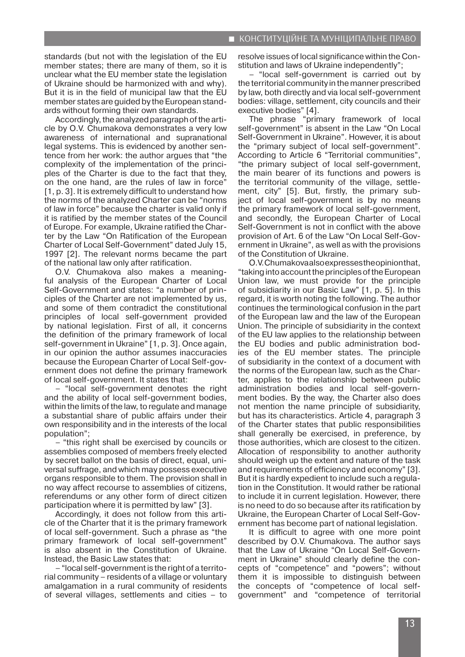standards (but not with the legislation of the EU member states; there are many of them, so it is unclear what the EU member state the legislation of Ukraine should be harmonized with and why). But it is in the field of municipal law that the EU member states are guided by the European standards without forming their own standards.

Accordingly, the analyzed paragraph of the article by O.V. Chumakova demonstrates a very low awareness of international and supranational legal systems. This is evidenced by another sentence from her work: the author argues that "the complexity of the implementation of the principles of the Charter is due to the fact that they, on the one hand, are the rules of law in force" [1, p. 3]. It is extremely difficult to understand how the norms of the analyzed Charter can be "norms of law in force" because the charter is valid only if it is ratified by the member states of the Council of Europe. For example, Ukraine ratified the Charter by the Law "On Ratification of the European Charter of Local Self-Government" dated July 15, 1997 [2]. The relevant norms became the part of the national law only after ratification.

O.V. Chumakova also makes a meaningful analysis of the European Charter of Local Self-Government and states: "a number of principles of the Charter are not implemented by us, and some of them contradict the constitutional principles of local self-government provided by national legislation. First of all, it concerns the definition of the primary framework of local self-government in Ukraine" [1, p. 3]. Once again, in our opinion the author assumes inaccuracies because the European Charter of Local Self-government does not define the primary framework of local self-government. It states that:

– "local self-government denotes the right and the ability of local self-government bodies, within the limits of the law, to regulate and manage a substantial share of public affairs under their own responsibility and in the interests of the local population";

– "this right shall be exercised by councils or assemblies composed of members freely elected by secret ballot on the basis of direct, equal, universal suffrage, and which may possess executive organs responsible to them. The provision shall in no way affect recourse to assemblies of citizens, referendums or any other form of direct citizen participation where it is permitted by law" [3].

Accordingly, it does not follow from this article of the Charter that it is the primary framework of local self-government. Such a phrase as "the primary framework of local self-government" is also absent in the Constitution of Ukraine. Instead, the Basic Law states that:

– "local self-government is the right of a territorial community – residents of a village or voluntary amalgamation in a rural community of residents of several villages, settlements and cities – to resolve issues of local significance within the Constitution and laws of Ukraine independently";

– "local self-government is carried out by the territorial community in the manner prescribed by law, both directly and via local self-government bodies: village, settlement, city councils and their executive bodies" [4].

The phrase "primary framework of local self-government" is absent in the Law "On Local Self-Government in Ukraine". However, it is about the "primary subject of local self-government". According to Article 6 "Territorial communities", "the primary subject of local self-government, the main bearer of its functions and powers is the territorial community of the village, settlement, city" [5]. But, firstly, the primary subject of local self-government is by no means the primary framework of local self-government, and secondly, the European Charter of Local Self-Government is not in conflict with the above provision of Art. 6 of the Law "On Local Self-Government in Ukraine", as well as with the provisions of the Constitution of Ukraine.

О.V. Chumakova also expresses the opinion that, "taking into account the principles of the European Union law, we must provide for the principle of subsidiarity in our Basic Law" [1, p. 5]. In this regard, it is worth noting the following. The author continues the terminological confusion in the part of the European law and the law of the European Union. The principle of subsidiarity in the context of the EU law applies to the relationship between the EU bodies and public administration bodies of the EU member states. The principle of subsidiarity in the context of a document with the norms of the European law, such as the Charter, applies to the relationship between public administration bodies and local self-government bodies. By the way, the Charter also does not mention the name principle of subsidiarity, but has its characteristics. Article 4, paragraph 3 of the Charter states that public responsibilities shall generally be exercised, in preference, by those authorities, which are closest to the citizen. Allocation of responsibility to another authority should weigh up the extent and nature of the task and requirements of efficiency and economy" [3]. But it is hardly expedient to include such a regulation in the Constitution. It would rather be rational to include it in current legislation. However, there is no need to do so because after its ratification by Ukraine, the European Charter of Local Self-Government has become part of national legislation.

It is difficult to agree with one more point described by O.V. Chumakova. The author says that the Law of Ukraine "On Local Self-Government in Ukraine" should clearly define the concepts of "competence" and "powers"; without them it is impossible to distinguish between the concepts of "competence of local selfgovernment" and "competence of territorial